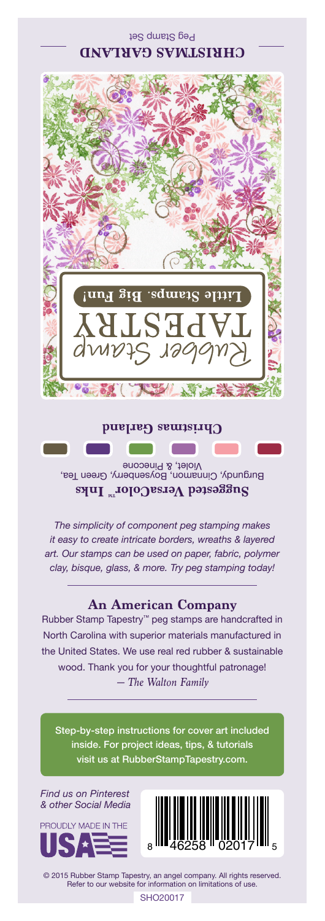Peg Stamp Set **CHRISTMAS GARLAND**



**Christmas Garland**

Burgundy, Cinnamon, Boysenberry, Green Tea, Violet, & Pinecone **Suggested VersaColorTM Inks**

*The simplicity of component peg stamping makes it easy to create intricate borders, wreaths & layered art. Our stamps can be used on paper, fabric, polymer clay, bisque, glass, & more. Try peg stamping today!*

## **An American Company**

*— The Walton Family* Rubber Stamp Tapestry™ peg stamps are handcrafted in North Carolina with superior materials manufactured in the United States. We use real red rubber & sustainable wood. Thank you for your thoughtful patronage!

Step-by-step instructions for cover art included inside. For project ideas, tips, & tutorials visit us at RubberStampTapestry.com.

*Find us on Pinterest & other Social Media*





© 2015 Rubber Stamp Tapestry, an angel company. All rights reserved. Refer to our website for information on limitations of use.